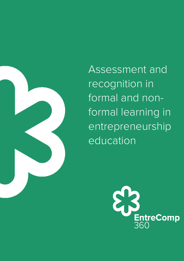

Assessment and recognition in formal and nonformal learning in entrepreneurship education

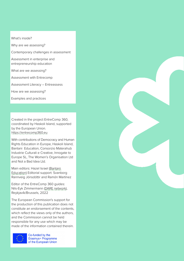What's inside?

Why are we assessing?

Contemporary challenges in assessment

Assessment in enterprise and entrepreneurship education

What are we assessing?

Assessment with Entrecomp

Assessment Literacy – Entreassess

How are we assessing?

Examples and practices

Created in the project EntreComp 360, coordinated by Haskoli Island, supported by the European Union. [https://entrecomp360.eu](https://entrecomp360.eu/)

With contributions of Democracy and Human Rights Education in Europe, Haskoli Island, Bantani Education, Consorzio Materahub Industrie Culturali e Creative, Innogate to Europe SL, The Women's Organisation Ltd and Not a Bad Idea Ltd.

Main editors: Hazel Israel [\(Bantani](https://bantani.com/)  [Education](https://bantani.com/)) Editorial support: Svanborg Rannveig Jónsdóttir and Ramón Martínez

Editor of the EntreComp 360 guides: Nils-Eyk Zimmermann ([DARE network](https://dare-network.eu/)), Reykjavík/Brussels, 2022

The European Commission's support for the production of this publication does not constitute an endorsement of the contents, which reflect the views only of the authors, and the Commission cannot be held responsible for any use which may be made of the information contained therein.



Co-funded by the Erasmus+ Programme of the European Union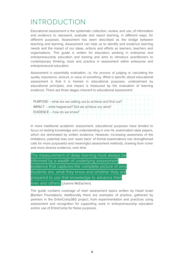# INTRODUCTION

Educational assessment is the systematic collection, review, and use, of information and evidence to represent, evaluate and report learning, in different ways, for different purposes. Assessment has been described as the bridge between teaching and learning. Assessment can help us to identify and evidence learning needs and the impact of our ideas, actions and efforts as learners, teachers and organisations. This guide is written for educators working in enterprise and entrepreneurship education and training and aims to introduce practitioners to contemporary thinking, tools and practice in assessment within enterprise and entrepreneurial education.

Assessment is essentially evaluation, i.e. the process of judging or calculating the quality, importance, amount, or value of something. What is specific about educational assessment is that it is framed in educational purposes, underpinned by educational principles, and impact is measured by the evaluation of learning evidence. There are three stages inherent to educational assessment:

| PURPOSE – what are we setting out to achieve and find out? |
|------------------------------------------------------------|
| IMPACT – what happened? Did we achieve our aims?           |
| EVIDENCE - how do we know?                                 |
|                                                            |

In more traditional academic assessment, educational purposes have tended to focus on testing knowledge and understanding in one hit, examination-style papers, which are dominated by written evidence. However, increasing awareness of the limitations, potential bias and 'wash back' of formal examinations has strengthened calls for more purposeful and meaningful assessment methods, drawing from richer and more diverse evidence, over time.

| The measurement of deep learning must always be    |  |  |  |
|----------------------------------------------------|--|--|--|
| informed by a wealth of underlying assessment      |  |  |  |
| evidence that captures the complete picture of who |  |  |  |
| students are, what they know and whether they are  |  |  |  |
| prepared to use that knowledge to advance their    |  |  |  |
| lives and others. (Joanne McEachen).               |  |  |  |

The guide contains coverage of main assessment topics written by Hazel Israel (Bantani Foundation). Additionally there are examples of practice, gathered by partners in the EntreComp360 project, from experimentation and practices using assessment and recognition for supporting work in entrepreneurship education and/or use of EntreComp for these purposes.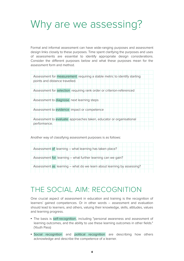# Why are we assessing?

Formal and informal assessment can have wide-ranging purposes and assessment design links closely to these purposes. Time spent clarifying the purposes and uses of assessments are essential to identify appropriate design considerations. Consider the different purposes below and what these purposes mean for the assessment form and method.

| Assessment for measurement requiring a stable metric to identify starting |
|---------------------------------------------------------------------------|
| points and distance travelled.                                            |
|                                                                           |
| Assessment for selection requiring rank order or criterion-referenced     |
|                                                                           |
| Assessment to diagnose next learning steps                                |
|                                                                           |
| Assessment to evidence impact or competence                               |
|                                                                           |
| Assessment to evaluate approaches taken, educator or organisational       |
| performance.                                                              |
|                                                                           |

Another way of classifying assessment purposes is as follows:

| Assessment of learning – what learning has taken place?                |
|------------------------------------------------------------------------|
| Assessment for learning - what further learning can we gain?           |
|                                                                        |
| Assessment as learning – what do we learn about learning by assessing? |

# THE SOCIAL AIM: RECOGNITION

One crucial aspect of assessment in education and training is the recognition of learners' gained competences. Or in other words – assessment and evaluation should lead to learners, and others, valuing their knowledge, skills, attitudes, values and learning progress.

- The basis is self-recognition , including "personal awareness and assessment of learning outcomes, and the ability to use these learning outcomes in other fields." (Youth Pass)
- Social recognition and political recognition are describing how others acknowledge and describe the competence of a learner.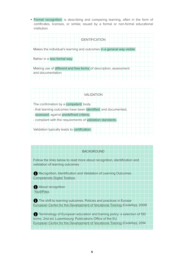• Formal recognition is describing and comparing learning, often in the form of certificates, licenses, or similar, issued by a formal or non-formal educational institution.

| <b>IDENTIFICATION</b>                                                 |
|-----------------------------------------------------------------------|
|                                                                       |
| Makes the individual's learning and outcomes in a general way visible |
|                                                                       |
| Rather in a less formal way                                           |
| Making use of different and free forms of description, assessment     |
| and documentation                                                     |
|                                                                       |

| <b>VALIDATION</b>                                             |
|---------------------------------------------------------------|
|                                                               |
| The confirmation by a competent body                          |
| - that learning outcomes have been identified and documented, |
| - assessed against predefined criteria,                       |
| - compliant with the requirements of validation standards.    |
|                                                               |
| Validation typically leads to certification.                  |
|                                                               |

#### BACKGROUND

Follow the links below to read more about recognition, identification and validation of learning outcomes

**Recognition, Identification and Validation of Learning Outcomes**  [Competendo Digital Toolbox](https://competendo.net/en/Identification_of_Learning_Outcome) 

About recognition [YouthPass](https://www.youthpass.eu/en/recognition/about-recognition/)

The shift to learning outcomes. Policies and practices in Europe [European Centre for the Development of Vocational Training](https://www.cedefop.europa.eu/EN/Files/3054_en.pdf) (Cedefop), 2009

**f** Terminology of European education and training policy: a selection of 130 terms. 2nd ed. Luxembourg: Publications Office of the EU. [European Centre for the Development of Vocational Training](http://www.cedefop.europa.eu/EN/Files/4117_en.pdf) (Cedefop), 2014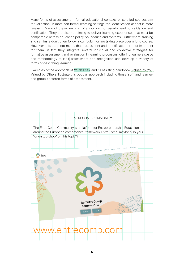Many forms of assessment in formal educational contexts or certified courses aim for validation. In most non-formal learning settings the identification aspect is more relevant. Many of these learning offerings do not usually lead to validation and certification. They are also not aiming to deliver learning experiences that must be comparable across education policy boundaries and systems. Furthermore, training and seminars don't often follow a curriculum or are taking place over a long course. However, this does not mean, that assessment and identification are not important for them. In fact they integrate several individual and collective strategies for formative assessment and evaluation in learning processes, offering learners space and methodology to (self)-assessment and recognition and develop a variety of forms of describing learning.

Examples of the approach of Youth Pass and its assisting handbook [Valued by You,](https://www.youthpass.eu/en/publications/handbooks/) [Valued by Others](https://www.youthpass.eu/en/publications/handbooks/) illustrate this popular approach including these 'soft' and learnerand group-centered forms of assessment.

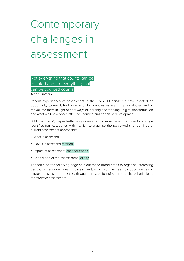# **Contemporary** challenges in assessment

Not everything that counts can be counted and not everything that can be counted counts.

Albert Einstein

Recent experiences of assessment in the Covid 19 pandemic have created an opportunity to revisit traditional and dominant assessment methodologies and to reevaluate them in light of new ways of learning and working, digital transformation and what we know about effective learning and cognitive development.

Bill Lucas' (2021) paper Rethinking assessment in education: The case for change identifies four categories within which to organise the perceived shortcomings of current assessment approaches:

- What is assessed?;
- How it is assessed method ;
- Impact of assessment consequences
- Uses made of the assessment validity .

The table on the following page sets out these broad areas to organise interesting trends, or new directions, in assessment, which can be seen as opportunities to improve assessment practice, through the creation of clear and shared principles for effective assessment.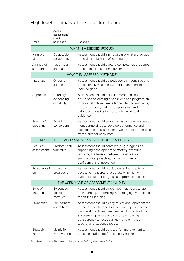# High level summary of the case for change

Goal – assessment should

Trend

be/include Rationale

| WHAT IS ASSESSED (FOCUS)               |                                       |                                                                                                                                                                                                                                                                                                 |  |  |
|----------------------------------------|---------------------------------------|-------------------------------------------------------------------------------------------------------------------------------------------------------------------------------------------------------------------------------------------------------------------------------------------------|--|--|
| Nature of<br>learning                  | Deep wide<br>collaborative            | Assessment should aim to capture what are agreed<br>to be desirable kinds of learning                                                                                                                                                                                                           |  |  |
| A range of<br>strengths                | head, heart<br>and hand               | Assessment should capture competencies required<br>for learning, life and employment                                                                                                                                                                                                            |  |  |
|                                        |                                       | HOW IT IS ASSESSED (METHODS)                                                                                                                                                                                                                                                                    |  |  |
| Integration                            | Ongoing,<br>authentic                 | Assessment should be pedagogically sensitive and<br>educationally valuable, supporting and enriching<br>learning goals                                                                                                                                                                          |  |  |
| Approach                               | Carefully<br>evidencing<br>capability | Assessment should establish clear and shared<br>definitions of learning dispositions and progression,<br>to more reliably evidence high-order thinking skills,<br>problem solving, real world application and<br>extended investigations through multimodal<br>evidence                         |  |  |
| Source of<br>credential                | <b>Broad</b><br>consortium            | Assessment should support creation of new assess-<br>ment partnerships to develop performance and<br>scenario based assessments which incorporate data<br>from a number of sources                                                                                                              |  |  |
|                                        |                                       | THE IMPACT OF THE ASSESSMENT PROCESS (CONSEQUENCES)                                                                                                                                                                                                                                             |  |  |
| Focus of<br>assessment                 | Predominantly<br>formative            | Assessment should serve learning progression,<br>supporting development of mastery over time,<br>reducing the tension between formative and<br>summative approaches, increasing learner<br>confidence and motivation                                                                            |  |  |
| Personalisati<br>on                    | Individual<br>progression             | Assessment should provide engaging, equitable<br>access to measures of progress which fairly<br>evidence student progress and promote success                                                                                                                                                   |  |  |
| THE USES MADE OF ASSESSMENT (VALIDITY) |                                       |                                                                                                                                                                                                                                                                                                 |  |  |
| Style of<br>credential                 | Evidenced<br>based<br>narrative       | Assessment should support learners to articulate<br>their learning, referencing wide ranging evidence to<br>report their learning                                                                                                                                                               |  |  |
| Ownership                              | For learners<br>and others            | Assessment should clearly reflect and represent the<br>purpose it is intended to serve, with opportunities to<br>involve students and teachers in all aspects of the<br>assessment process and system, increasing<br>transparency to reduce anxiety and enhance<br>teacher and student capacity |  |  |
| Strategic<br>intent                    | Mainly for<br>improvement             | Assessment should be a tool for improvement to<br>enhance student performance over time                                                                                                                                                                                                         |  |  |

Table 1 (adapted from The case for change, Lucas 2021 by Hazel Israel 2021)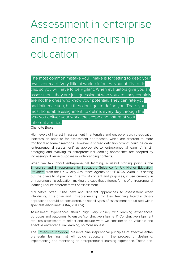# Assessment in enterprise and entrepreneurship education

The most common mistake you'll make is forgetting to keep your own scorecard. Very little at work reinforces your ability to do this, so you will have to be vigilant. When evaluators give you an assessment, they are just guessing at who you are; they certainly are not the ones who know your potential. They can rate you and influence you, but they don't get to define you. That's your most honorable assignment: to define, every day through the way you deliver your work, the scope and nature of your inherent abilities.

Charlotte Beers

High levels of interest in assessment in enterprise and entrepreneurship education indicates an appetite for assessment approaches, which are different to more traditional academic methods. However, a shared definition of what could be called 'entrepreneurial assessment', as appropriate to 'entrepreneurial learning', is still emerging and evolving as entrepreneurial learning approaches are adopted by increasingly diverse purposes in wider-ranging contexts.

When we talk about entrepreneurial learning, a useful starting point is the Enterprise and Entrepreneurship Education: Guidance for UK Higher Education Providers from the UK Quality Assurance Agency for HE (QAA, 2018). It is setting out the diversity of practice, in terms of content and purposes, in use currently in entrepreneurship education, making the case that different forms of entrepreneurial learning require different forms of assessment.

"Educators often utilise new and different approaches to assessment when introducing Enterprise and Entrepreneurship into their teaching. Interdisciplinary approaches should be considered, as not all types of assessment are utilised within specialist disciplines" (QAA, 2018: 14).

Assessment experiences should align very closely with learning experiences, purposes and outcomes, to ensure 'constructive alignment'. Constructive alignment requires assessment to reflect and include what we consider to be valuable and effective entrepreneurial learning, no more no less.

The Entrecomp Playbook presents nine inspirational principles of effective entrepreneurial learning that will guide educators in the process of designing, implementing and monitoring an entrepreneurial learning experience. These prin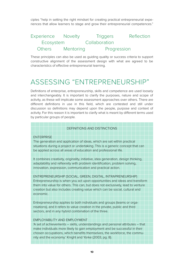ciples "help in setting the right mindset for creating practical entrepreneurial experiences that allow learners to stage and grow their entrepreneurial competences."

# Experience Novelty Triggers Reflection Ecosystem Collaboration Others Mentoring Progression

These principles can also be used as guiding quality or success criteria to support constructive alignment of the assessment design with what are agreed to be characteristics of effective entrepreneurial learning.

# ASSESSING "ENTREPRENEURSHIP"

Definitions of enterprise, entrepreneurship, skills and competence are used loosely and interchangeably. It is important to clarify the purposes, nature and scope of activity, as these will implicate some assessment approaches over others. There are different definitions in use in this field, which are contested and still under discussion so definitions may depend upon the people, purpose and context of activity. For this reason it is important to clarify what is meant by different terms used by particular groups of people.

#### DEFINITIONS AND DISTINCTIONS

#### **ENTERPRISE**

The generation and application of ideas, which are set within practical situations during a project or undertaking. This is a generic concept that can be applied across all areas of education and professional life.

It combines creativity, originality, initiative, idea generation, design thinking, adaptability and reflexivity with problem identification, problem solving, innovation, expression, communication and practical action.

ENTREPRENEURSHIP (SOCIAL, GREEN, DIGITAL, INTRAPRENEURSHIP) Entrepreneurship is when you act upon opportunities and ideas and transform them into value for others. This can, but does not exclusively, lead to venture creation but also includes creating value which can be social, cultural and economic.

Entrepreneurship applies to both individuals and groups (teams or organisations), and it refers to value creation in the private, public and third sectors, and in any hybrid combination of the three.

#### EMPLOYABILITY AND EMPLOYMENT

'A set of achievements – skills, understandings and personal attributes – that make individuals more likely to gain employment and be successful in their chosen occupations, which benefits themselves, the workforce, the community and the economy.' Knight and Yorke (2003, pg. 8).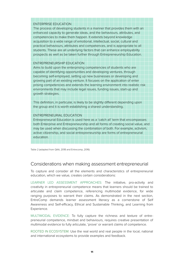| <b>ENTERPRISE EDUCATION</b>                                                                                                                                     |
|-----------------------------------------------------------------------------------------------------------------------------------------------------------------|
| The process of developing students in a manner that provides them with an                                                                                       |
| enhanced capacity to generate ideas, and the behaviours, attributes, and                                                                                        |
| competencies to make them happen. It extends beyond knowledge                                                                                                   |
| acquisition to a wide range of emotional, intellectual, social, cultural and                                                                                    |
| practical behaviours, attributes and competences, and is appropriate to all                                                                                     |
| students. These are all underlying factors that can enhance employability                                                                                       |
| prospects as well as be taken further through Entrepreneurship Education.                                                                                       |
|                                                                                                                                                                 |
| <b>ENTREPRENEURSHIP EDUCATION</b>                                                                                                                               |
| Aims to build upon the enterprising competencies of students who are                                                                                            |
| capable of identifying opportunities and developing ventures, through                                                                                           |
| becoming self-employed, setting up new businesses or developing and                                                                                             |
| growing part of an existing venture. It focuses on the application of enter                                                                                     |
| prising competencies and extends the learning environment into realistic risk                                                                                   |
| environments that may include legal issues, funding issues, start-up and                                                                                        |
| growth strategies.                                                                                                                                              |
|                                                                                                                                                                 |
| This definition, in particular, is likely to be slightly different depending upon                                                                               |
| the group and it is worth establishing a shared understanding.                                                                                                  |
|                                                                                                                                                                 |
| ENTREPRENEURIAL EDUCATION                                                                                                                                       |
| Entrepreneurial Education is used here as a 'catch all' term that encompasses                                                                                   |
| both Enterprise and Entrepreneurship and all forms of creating social value, and<br>may be used when discussing the combination of both. For example, activism, |
| active citizenship, and social entrepreneurship are forms of entrepreneurial                                                                                    |
| education.                                                                                                                                                      |
|                                                                                                                                                                 |
|                                                                                                                                                                 |

Table 2 (adapted from QAA, 2018 and Entrecomp, 2016)

### Considerations when making assessment entrepreneurial

To capture and consider all the elements and characteristics of entrepreneurial education, which we value, creates certain considerations:

LEARNER LED ASSESSMENT APPROACHES: The initiative, pro-activity and creativity in entrepreneurial competence means that learners should be trained to articulate and claim competence, referencing multimodal evidence, for wide ranging purposes to warrant their claims. As demonstrated in the next section, EntreComp demands learner assessment literacy as a cornerstone of Self Awareness and Self-efficacy, Ethical and Sustainable Thinking, and Learning from Experience.

MULTIMODAL EVIDENCE: To fully capture the richness and texture of entrepreneurial competence, mindset and behaviours, requires creative presentation of multimodal evidence to fully articulate, 'prove' or warrant claims of competence.

ROOTED IN ECOSYSTEM: Use the real world and real people in the local, national and international ecosystems to provide examples and feedback.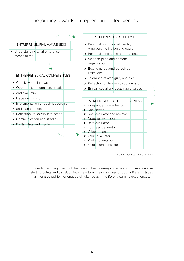# The journey towards entrepreneurial effectiveness



Figure 1 (adapted from QAA, 2018)

Students' learning may not be linear; their journeys are likely to have diverse starting points and transition into the future; they may pass through different stages in an iterative fashion, or engage simultaneously in different learning experiences.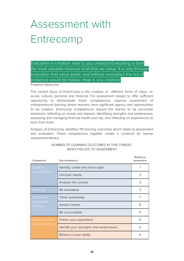# Assessment with Entrecomp

Evaluation is creation: hear it, you creators! Evaluating is itself the most valuable treasure of all that we value. It is only through evaluation that value exists: and without evaluation the nut of existence would be hollow. Hear it, you creators!

Friedrich Nietzsche

The central focus of EntreComp is the creation of different forms of value, i.e. social, cultural, personal and financial. For assessment design to offer sufficient opportunity to demonstrate these competences, requires assessment of entrepreneurial learning where learners have significant agency and opportunities to be creative. Entrecomp competences require the learner to be pro-active assessors, reflecting on needs and impacts, identifying strengths and weaknesses, assessing and managing financial health and risk, and reflecting on experiences to learn from them.

Analysis of EntreComp identifies 119 learning outcomes which relate to assessment and evaluation. These competences together create a construct for learner assessment literacy.

| Competence              | Sub-competence                         | Relating to<br>assessment |
|-------------------------|----------------------------------------|---------------------------|
| Spotting                | Identify, create and seize opps        |                           |
| opportunities           | Uncover needs                          | 3                         |
|                         | Analyse the context                    | 3                         |
| Creativity              | Be innovative                          | 3                         |
| <b>Ethical and</b>      | Think sustainably                      | 7                         |
| sustainable<br>thinking | Assess impact                          | 8                         |
|                         | Be accountable                         | 5                         |
| Self awareness          | Follow your aspirations                | 6                         |
| and self-efficacy       | Identify your strengths and weaknesses | 6                         |
|                         | Believe in your ability                | 6                         |

#### NUMBER OF LEARNING OUTCOMES IN THIS THREAD WHICH RELATE TO ASSESSMENT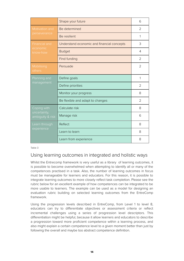|                                  | Shape your future                          | 6              |
|----------------------------------|--------------------------------------------|----------------|
| Motivation and                   | Be determined                              | $\overline{2}$ |
| perseverance                     | Be resilient                               | 1              |
| <b>Financial and</b>             | Understand economic and financial concepts | 3              |
| economic<br>know-how             | <b>Budget</b>                              | 4              |
|                                  | Find funding                               | $\overline{2}$ |
| Mobilising<br>others             | Persuade                                   | 2              |
| Planning and                     | Define goals                               | 1              |
| management                       | Define priorities                          | $\overline{2}$ |
|                                  | Monitor your progress                      | 8              |
|                                  | Be flexible and adapt to changes           | $\overline{2}$ |
| Coping with                      | Calculate risk                             | 8              |
| uncertainty,<br>ambiguity & risk | Manage risk                                | 6              |
| Learn through                    | Reflect                                    | 8              |
| experience                       | Learn to learn                             | 8              |
|                                  | Learn from experience                      | 8              |

Table 3

## Using learning outcomes in integrated and holistic ways

Whilst the Entrecomp framework is very useful as a library of learning outcomes, it is possible to become overwhelmed when attempting to identify all or many of the competences practised in a task. Also, the number of learning outcomes in focus must be manageable for learners and educators. For this reason, it is possible to integrate learning outcomes to more closely reflect task completion. Please see the rubric below for an excellent example of how competences can be integrated to be more usable to learners. The example can be used as a model for designing an evaluation rubric building on selected learning outcomes from the EntreComp framework.

Using the progression levels described in EntreComp, from Level 1 to level 8, educators can try to differentiate objectives or assessment criteria or reflect incremental challenges using a series of progression level descriptors. This differentiation might be helpful, because it allow learners and educators to describe a progression toward more proficient competence within a learning process, and also might explain a certain competence level to a given moment better than just by following the overall and maybe too abstract competence definition.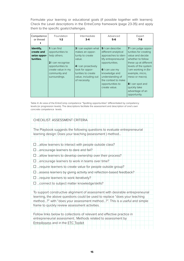Formulate your learning or educational goals (if possible together with learners). Check the Level descriptions in the EntreComp framework (page 23-35) and apply them to the specific goals/challenges.

| Competence                                           | Foundation                                                                                                                                                        | Intermediate                                                                                                                                                                   | Advanced                                                                                                                                                                                                                            | Expert                                                                                                                                                                                                                                                                       |
|------------------------------------------------------|-------------------------------------------------------------------------------------------------------------------------------------------------------------------|--------------------------------------------------------------------------------------------------------------------------------------------------------------------------------|-------------------------------------------------------------------------------------------------------------------------------------------------------------------------------------------------------------------------------------|------------------------------------------------------------------------------------------------------------------------------------------------------------------------------------------------------------------------------------------------------------------------------|
| or thread                                            | $1-2$                                                                                                                                                             | $3-4$                                                                                                                                                                          | $5-6$                                                                                                                                                                                                                               | $7-8$                                                                                                                                                                                                                                                                        |
| Identify,<br>create and<br>seize oppor-<br>tunities. | <b>1</b> $l$ can find<br>opportunities to<br>help others.<br><b>2</b> I can recognise<br>opportunities to<br>create value in my<br>community and<br>surroundings. | 3 I can explain what<br>makes an oppor-<br>tunity to create<br>value.<br>4 I can proactively<br>look for oppor-<br>tunities to create<br>value, including out<br>of necessity. | <b>5</b>   can describe<br>different analytical<br>approaches to iden-<br>tify entrepreneurial<br>opportunities.<br>6 I can use my<br>knowledge and<br>understanding of<br>the context to make<br>opportunities to<br>create value. | 7 I can judge oppor-<br>tunities for creating<br>value and decide<br>whether to follow<br>these up at different<br>levels of the system<br>I am working in (for<br>example, micro,<br>meso or macro).<br>8 I can spot and<br>quickly take<br>advantage of an<br>opportunity. |

Table 4: An area of the EntreComp competence "Spotting opportunities" differentiated by competency levels (or progression levels). The descriptions facilitate the assessment and description of one's own concrete competence levels.

| CHECKLIST: ASSESSMENT CRITERIA                                                                                                                                                                                                                                                              |
|---------------------------------------------------------------------------------------------------------------------------------------------------------------------------------------------------------------------------------------------------------------------------------------------|
| The Playbook suggests the following questions to evaluate entrepreneurial<br>learning design: Does your teaching (assessment) method                                                                                                                                                        |
| $\Box$ allow learners to interact with people outside class?                                                                                                                                                                                                                                |
| $\Box$ encourage learners to dare and fail?                                                                                                                                                                                                                                                 |
| $\square$ allow learners to develop ownership over their process?                                                                                                                                                                                                                           |
| encourage learners to work in teams over time?                                                                                                                                                                                                                                              |
| $\square$ require learners to create value for people outside group?                                                                                                                                                                                                                        |
| m  assess learners by giving activity and reflection-based feedback?                                                                                                                                                                                                                        |
| $\Box$ require learners to work iteratively?                                                                                                                                                                                                                                                |
| connect to subject matter knowledge/skills?                                                                                                                                                                                                                                                 |
| To support constructive alignment of assessment with desirable entrepreneurial<br>learning, the above questions could be used to replace "does your teaching<br>method?" with "does your assessment method?". This is a useful and simple<br>frame to quickly review assessment activities. |
| Follow links below to collections of relevant and effective practice in                                                                                                                                                                                                                     |
| entrepreneurial assessment.: Methods related to assessment by<br>EntreAssess and in the ETC Toolkit                                                                                                                                                                                         |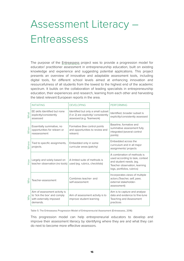# Assessment Literacy – Entreassess

The purpose of the **Entreassess** project was to provide a progression model for educator/ practitioner assessment in entrepreneurship education, built on existing knowledge and experience and suggesting potential applications. This project presents an overview of innovative and adaptable assessment tools, including digital tools, for different school levels aimed at enhancing innovation and resourcefulness of all students from the lowest to the highest end of the academic spectrum. It builds on the collaboration of leading specialists in entrepreneurship education, their experiences and research, learning from each other and harvesting the latest relevant European reports in the area.

|       | <b>INITIATING</b>                                                                                    | <b>DEVELOPING</b>                                                                                       | <b>PERFORMING</b>                                                                                                                                        |
|-------|------------------------------------------------------------------------------------------------------|---------------------------------------------------------------------------------------------------------|----------------------------------------------------------------------------------------------------------------------------------------------------------|
| What  | EE skills Identified but none<br>explicitly/consistently<br>assessed                                 | Identified but only a small subset<br>(1 or 2) are explicitly/ consistently<br>assessed (e.g. Teamwork) | Identified, broader subset is<br>explicitly/consistently assessed                                                                                        |
| When  | Essentially summative, no<br>opportunities for relearn or<br>reassessment                            | Formative (few control points<br>and opportunities to review and<br>relearn)                            | Baseline, formative and<br>summative assessment fully<br>integrated (several control<br>points)                                                          |
| Where | Tied to specific assignments,<br>projects.                                                           | Embedded only in some<br>curricular areas (patchy)                                                      | Embedded across the<br>curriculum and in all major<br>assignments/ projects                                                                              |
| How   | Largely and solely based on<br>teacher observation (no tools)                                        | A limited suite of methods is<br>used (eq. rubrics, checklists)                                         | A combination of methods is<br>used according to task, context<br>and student needs. (eg.<br>Teacher observation, learning<br>logs, portfolios, rubrics) |
| who   | Teacher-assessment                                                                                   | Combines teacher- and<br>self-assessment                                                                | Incorporates views of multiple<br>actors (Teacher, self, peer,<br>external stakeholder-<br>assessment)                                                   |
| Why   | Aim of assessment activity is<br>to 'tick the box' and comply<br>with externally imposed<br>demands. | Aim of assessment activity is to<br>improve student learning                                            | Aim is to capture and analyse<br>data and evidence to fine-tune<br>Teaching and Assessment<br>practices                                                  |

Table 5: The Entreassess Progression Model of Entrepreneurial Assessment (Entreassess, 2016)

This progression model can help entrepreneurial educators to develop and improve their assessment literacy by identifying where they are and what they can do next to become more effective assessors.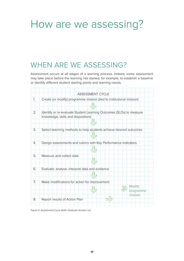# How are we assessing?

# WHEN ARE WE ASSESSING?

Assessment occurs at all stages of a learning process. Indeed, some assessment may take place before the learning has started, for example, to establish a baseline or identify different student starting points and learning needs.

|                  | <b>ASSESSMENT CYCLE</b>                                              |
|------------------|----------------------------------------------------------------------|
| 1.               | Create (or modify) programme mission (tied to institutional mission) |
|                  |                                                                      |
|                  |                                                                      |
| 2.               | Identify or re-evaluate Student Learning Outcomes (SLOs) to measure  |
|                  | knowledge, skills and dispositions                                   |
|                  |                                                                      |
|                  |                                                                      |
| 3.               | Select teaching methods to help students achieve desired outcomes    |
|                  |                                                                      |
|                  |                                                                      |
| $\overline{4}$ . | Design assessments and rubrics with Key Performance indicators       |
|                  |                                                                      |
|                  |                                                                      |
| 5.               | Measure and collect data                                             |
|                  |                                                                      |
| 6.               | Evaluate, analyse, interpret data and evidence                       |
|                  |                                                                      |
|                  |                                                                      |
| 7.               | Make modifications for action for improvement                        |
|                  | <b>Modify</b>                                                        |
|                  | programme                                                            |
|                  | mission                                                              |
| 8.               | Report results of Action Plan                                        |
|                  |                                                                      |
|                  |                                                                      |

Figure 2: Assessment Cycle (Adler Graduate School n.d.)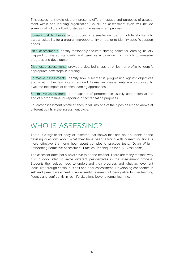This assessment cycle diagram presents different stages and purposes of assessment within one learning organisation. Usually an assessment cycle will include some, or all, of the following stages in the assessment process:

Screening/skills checks tend to focus on a smaller number of high level criteria to assess suitability for a programme/opportunity or job, or to identify specific support needs.

Initial assessments identify reasonably accurate starting points for learning, usually mapped to shared standards and used as a baseline from which to measure progress and development.

Diagnostic assessments provide a detailed snapshot or learner profile to identify appropriate next steps in learning.

Formative assessments identify how a learner is progressing against objectives and what further learning is required. Formative assessments are also used to evaluate the impact of chosen learning approaches.

Summative assessment is a snapshot of performance usually undertaken at the end of a programme for reporting or accreditation purposes.

Educator assessment practice tends to fall into one of the types described above at different points in the assessment cycle.

# WHO IS ASSESSING?

There is a significant body of research that shows that one hour students spend devising questions about what they have been learning with correct solutions is more effective than one hour spent completing practice tests. (Dylan Wiliam, Embedding Formative Assessment: Practical Techniques for K-12 Classrooms).

The assessor does not always have to be the teacher. There are many reasons why it is a good idea to invite different perspectives in the assessment process. Students themselves need to understand their progress and what achievement looks like through continuous self and peer assessment. Developing confidence in self and peer assessment is an essential element of being able to use learning fluently and confidently in real-life situations beyond formal learning.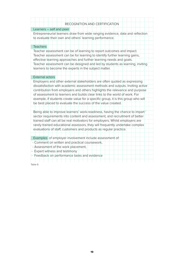#### RECOGNITION AND CERTIFICATION

#### Learners – self and peer

Entrepreneurial learners draw from wide ranging evidence, data and reflection to evaluate their own and others' learning performance.

#### **Teachers**

Teacher assessment can be of learning to report outcomes and impact. Teacher assessment can be for learning to identify further learning gains, effective learning approaches and further learning needs and goals. Teacher assessment can be designed and led by students as learning, inviting learners to become the experts in the subject matter.

#### External actors

Employers and other external stakeholders are often quoted as expressing dissatisfaction with academic assessment methods and outputs. Inviting active contribution from employers and others highlights the relevance and purpose of assessment to learners and builds clear links to the world of work. For example, if students create value for a specific group, it is this group who will be best placed to evaluate the success of the value created.

Being able to improve learners' work-readiness, having the chance to impart ' sector requirements into content and assessment, and recruitment of better trained staff can all be real motivators for employers. Whilst employers are rarely trained educational assessors, they will frequently undertake complex evaluations of staff, customers and products as regular practice.

Examples of employer involvement include assessment of:

- Comment on written and practical coursework,
- Assessment of the work placement,

- Expert witness and testimony

- Feedback on performance tasks and evidence

Table 6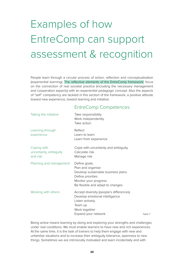# Examples of how EntreComp can support assessment & recognition

People learn through a circular process of action, reflection and conceptualisation (experiential learning). The reflective elements of the EntreComp framework focus on the connection of real societal practice (including the necessary management and cooperation aspects) with an experiential pedagogic concept. Also the aspects of "self" competency are tackled in this section of the framework, a positive attitude toward new experience, toward learning and initiative.

# EntreComp Competences

| Taking the initiative                             | Take responsibility.<br>Work independently.<br>Take action.                                                                                                |         |
|---------------------------------------------------|------------------------------------------------------------------------------------------------------------------------------------------------------------|---------|
| Learning through<br>experience                    | Reflect<br>Learn to learn<br>Learn from experience                                                                                                         |         |
| Coping with<br>uncertainty, ambiguity<br>and risk | Cope with uncertainty and ambiguity.<br>Calculate risk.<br>Manage risk                                                                                     |         |
| Planning and management                           | Define goals.<br>Plan and organise<br>Develop sustainable business plans<br>Define priorities<br>Monitor your progress<br>Be flexible and adapt to changes |         |
| Working with others                               | Accept diversity (people's differences)<br>Develop emotional intelligence<br>Listen actively<br>Team up<br>Work together<br>Expand your network            | Table 7 |

Being active means learning by doing and exploring your strengths and challenges under real conditions. We must enable learners to have new and rich experiences. At the same time, it is the task of trainers to help them engage with new and unfamiliar situations and to increase their ambiguity tolerance, openness to new things. Sometimes we are intrinsically motivated and learn incidentally and with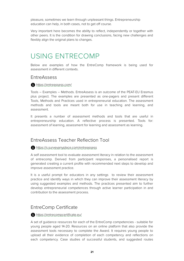pleasure, sometimes we learn through unpleasant things. Entrepreneurship education can help, in both cases, not to get off course.

Very important here becomes the ability to reflect, independently or together with other peers. It is the condition for drawing conclusions, facing new challenges and flexibly align the original plans to changes.

# USING ENTRECOMP

Below are examples of how the EntreComp framework is being used for assessment in different contexts.

### EntreAssess

#### <https://entreassess.com/>

Tools – Examples – Methods. EntreAssess is an outcome of the PEAT-EU Erasmus plus project. The examples are presented as one-pagers and present different Tools, Methods and Practices used in entrepreneurial education. The assessment methods and tools are meant both for use in teaching and learning, and assessment.

It presents a number of assessment methods and tools that are useful in entrepreneurship education. A reflective process is presented. Tools for: assessment of learning, assessment for learning and assessment as learning.

## EntreAssess Teacher Reflection Tool

<https://s.surveyanyplace.com/entreassess>

A self assessment tool to evaluate assessment literacy in relation to the assessment of entrecomp. Derived from participant responses, a personalised report is generated creating a current profile with recommended next steps to develop and improve assessment practice.

It is a useful prompt for educators in any settings to review their assessment practice and identify ways in which they can improve their assessment literacy by using suggested examples and methods. The practices presented aim to further develop entrepreneurial competences through active learner participation in and contribution to the assessment process.

## EntreComp Certificate

#### <https://entrecompcertificate.eu/>

A set of guidance resources for each of the EntreComp competencies - suitable for young people aged 14-20. Resources on an online platform that also provide the assessment tools necessary to complete the Award. It requires young people to upload all their evidence of completion of each competency and reflections on each competency. Case studies of successful students, and suggested routes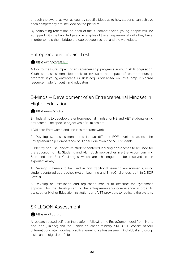through the award, as well as country specific ideas as to how students can achieve each competency are included on the platform.

By completing reflections on each of the 15 competencies, young people will be equipped with the knowledge and examples of the entrepreneurial skills they have, in order to help them bridge the gap between school and the workplace.

## Entrepreneurial Impact Test

#### <https://impact-test.eu/>

A tool to measure impact of entrepreneurship programs in youth skills acquisition. Youth self assessment feedback to evaluate the impact of entrepreneurship programs in young entrepreneurs' skills acquisition based on EntreComp. It is a free resource made for youth and educators.

# E-Minds – Development of an Entrepreneurial Mindset in Higher Education

#### <https://e-minds.eu/>

E-minds aims to develop the entrepreneurial mindset of HE and VET students using Entrecomp. The specific objectives of E- minds are:

1. Validate EntreComp and use it as the framework.

2. Develop two assessment tools in two different EQF levels to assess the Entrepreneurship Competence of Higher Education and VET students.

3. Identify and use innovative student centered learning approaches to be used for the education of HE Students and VET. Such approaches are the Action Learning Sets and the EntreChallenges which are challenges to be resolved in an experiential way.

4. Develop materials to be used in non traditional learning environments, using student centered approaches (Action Learning and EntreChallenges, both in 2 EQF Levels).

5. Develop an installation and replication manual to describe the systematic approach for the development of the entrepreneurship competence in order to assist other Higher Education Institutions and VET providers to replicate the system.

## SKILLOON Assessment

#### [https://skilloon.com](https://skilloon.com/)

A research-based self-learning platform following the EntreComp model from Not a bad idea (Finland) and the Finnish education ministry. SKILLOON consist of four different concrete modules, practice learning, self-assessment, individual and group tasks and a digital portfolio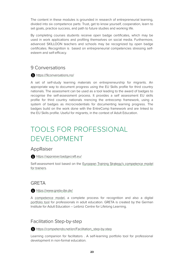The content in these modules is grounded in research of entrepreneurial learning, divided into six competence parts: Trust, get to know yourself, cooperation, learn to set goals, practice success, and path to future studies and working life.

By completing courses students receive open badge certificates, which may be used in work applications and profiling themselves on social media. Furthermore, advanced SKILLOON teachers and schools may be recognized by open badge certificates. Recognition is based on entrepreneurial competencies stressing selfesteem and self-efficacy.

## 9 Conversations

#### <https://9conversations.no/>

A set of self-study learning materials on entrepreneurship for migrants. An appropriate way to document progress using the EU Skills profile for third country nationals. The assessment can be used as a tool leading to the award of badges to recognise the self-assessment process. It provides a self assessment EU skills profile for third country nationals nrencing the entrecomp framework, using a system of badges as microcredentials for documenting learning progress. The badges build on the work done with the EntreComp framework and are linked to the EU Skills profile. Useful for migrants, in the context of Adult Education.

# TOOLS FOR PROFESSIONAL DEVELOPMENT

### AppRaiser

<https://appraiser.badgecraft.eu/>

Self-assessment tool based on the [European Training Strategy's competence model](https://www.salto-youth.net/downloads/4-17-3862/ETS-Competence-Model%20_Trainers_Amended_version.pdf) [for trainers](https://www.salto-youth.net/downloads/4-17-3862/ETS-Competence-Model%20_Trainers_Amended_version.pdf).

## **GRETA**

#### <https://www.greta-die.de/>

A [competence model](https://epale.ec.europa.eu/en/blog/greta-competence-model-teachers-continuing-training), a complete process for recognition and also a digital [portfolio tool](https://www.greta-die.de/webpages/projektergebnisse/portfolioplus) for professionals in adult education. GRETA is created by the German Institute for Adult Education – Leibniz Centre for Lifelong Learning.

# Facilitation Step-by-step

[https://competendo.net/en/Facilitation\\_step-by-step](https://competendo.net/en/Facilitation_step-by-step)

Learning companion for facilitators . A self-learning portfolio tool for professional development in non-formal education.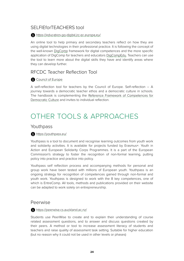# SELFIEforTEACHERS tool

#### <https://educators-go-digital.jrc.ec.europa.eu/>

An online tool to help primary and secondary teachers reflect on how they are using digital technologies in their professional practice. It is following the concept of the well-known [DigComp](https://ec.europa.eu/jrc/en/digcompedu) framework for digital competences and the more specific application of DigComp for teachers and educators [DigCompEdu.](https://ec.europa.eu/jrc/en/digcompedu) Teachers can use the tool to learn more about the digital skills they have and identify areas where they can develop further.

# RFCDC Teacher Reflection Tool

### [Council of Europe](https://rm.coe.int/reference-framework-of-competences-for-democratic-culture-teacher-refl/1680a526ac)

A self-reflection tool for teachers by the Council of Europe. Self-reflection – A journey towards a democratic teacher ethos and a democratic culture in schools. The handbook is complementing the [Reference Framework of Competences for](https://www.coe.int/en/web/reference-framework-of-competences-for-democratic-culture) [Democratic Culture](https://www.coe.int/en/web/reference-framework-of-competences-for-democratic-culture) and invites to individual reflection.

# OTHER TOOLS & APPROACHES

# Youthpass

### <https://youthpass.eu/>

Youthpass is a tool to document and recognise learning outcomes from youth work and solidarity activities. It is available for projects funded by Erasmus+: Youth in Action and European Solidarity Corps Programmes. It is a part of the European Commission's strategy to foster the recognition of non-formal learning, putting policy into practice and practice into policy.

Youthpass self reflection process and accompanying methods for personal and group work have been tested with millions of European youth. Youthpass is an ongoing strategy for recognition of competences gained through non-formal and youth work. Youthpass is designed to work with the 8 key competences, one of which is EntreComp. All tools, methods and publications provided on their website can be adapted to work solely on entrepreneurship.

### Peerwise

<https://peerwise.cs.auckland.ac.nz/>

Students use PeerWise to create and to explain their understanding of course related assessment questions, and to answer and discuss questions created by their peers. A method or tool to increase assessment literacy of students and teachers and raise quality of assessment task setting. Suitable for higher education (but no reason why it could not be used in other levels or phases)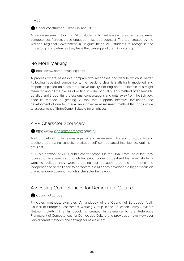# TBC

**f** Under construction – ready in April 2022

A self-assessment tool for VET students to self-assess their entrepreneurial competences (targets those engaged in start-up courses). The tool created by the Walloon Regional Government in Belgium helps VET students to recognise the EntreComp competences they have that can support them in a start-up

# No More Marking

#### <https://www.nomoremarking.com/>

A process where assessors compare two responses and decide which is better. Following repeated comparisons, the resulting data is statistically modelled and responses placed on a scale of relative quality. For English, for example, this might mean ranking all the pieces of writing in order of quality. This method often leads to detailed and thoughtful professional conversations and gets away from the tick box, checklist method of grading. A tool that supports effective evaluation and development of quality criteria. An innovative assessment method that adds value to assessment of EntreComp. Suitable for all phases.

# KIPP Character Scorecard

#### <https://www.kipp.org/approach/character/>

Tool or method to increases agency and assessment literacy of students and teachers addressing curiosity, gratitude, self control, social intelligence, optimism, grit, zest.

KIPP is a network of 240+ public charter schools in the USA. From the outset they focused on academics and tough behaviour codes but realised that when students went to college they were dropping out because they did not have the independence or resilience to persevere. So KIPP has developed a bigger focus on character development through a character framework.

# Assessing Competences for Democratic Culture

### [Council of Europe](https://rm.coe.int/prems-005521-assessing-competences-for-democratic-culture/1680a3bd41)

Principles, methods, examples. A handbook of the Council of Europes's Youth Council of Europe's Assessment Working Group in the Education Policy Advisors Network (EPAN). The handbook is created in reference to the [Reference](https://www.coe.int/en/web/reference-framework-of-competences-for-democratic-culture) [Framework of Competences for Democratic Culture](https://www.coe.int/en/web/reference-framework-of-competences-for-democratic-culture) and provides an overview over very different methods and settings for assessment.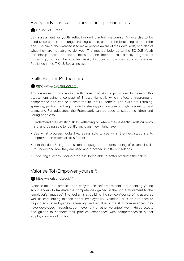# Everybody has skills – measuring personalities

### [Council of Europe](https://pjp-eu.coe.int/documents/42128013/47262469/23-act-2-3.pdf/9972665a-cfd6-0b18-5e64-9ee9863a72c7)

Self assessment for youth, reflection during a training course. An exercise to be used twice as part of a longer training course, once at the beginning, once at the end. The aim of the exercise is to make people aware of their own skills, and also of what they are not able to do (yet). The method belongs to the EC-CoE Youth Partnership toolkit on social inclusion. The method isn't directly targeted at EntreComp, but can be adapted easily to focus on the desired competences. Published in the [T-Kit 8: Social Inclusion](https://pjp-eu.coe.int/en/web/youth-partnership/t-kit-8-social-inclusion)

## Skills Builder Partnership

#### [https://www.skillsbuilder.org/](https://www.skillsbuilder.org/about)

This organisation has worked with more than 700 organisations to develop this assessment using a concept of 8 essential skills which reflect entrepreneurial competence and can be transferred to the EE context. The skills are listening, speaking, problem solving, creativity, staying positive, aiming high, leadership and teamwork. For educators, the Framework can be used to support children and young people to:

- Understand their existing skills: Reflecting on where their essential skills currently are, and being able to identify any gaps they might have
- See what progress looks like: Being able to see what the next steps are to improve their essential skills further.
- Join the dots: Using a consistent language and understanding of essential skills to understand how they are used and practiced in different settings
- Capturing success: Seeing progress, being able to better articulate their skills

## Valorise Toi (Empower yourself)

#### <https://valorise-toi.sgdf.fr/>

'Valorise-toi!' is a practical and easy-to-use self-assessment tool enabling young scout leaders to translate the competences gained in the scout movement to the 'employer's language'. The tool aims at building the self-confidence of its users, as well as contributing to their better employability. Valorise Toi is an approach to helping scouts and guides self-recognise the value of the skills/competences they have developed through scout movement or other volunteer work. Helps scouts and guides to connect their practical experience with competences/skills that employers are looking for.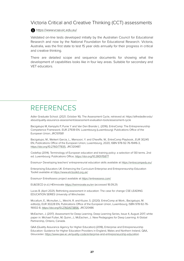## Victoria Critical and Creative Thinking (CCT) assessments

#### [https://www.vcaa.vic.edu.au/](https://www.vcaa.vic.edu.au/assessment/f-10assessment/edstateap/Pages/cct-assessments.aspx)

Validated on-line tests developed initially by the Australian Council for Educational Research and now by the National Foundation for Educational Research. Victoria, Australia, was the first state to test 15 year olds annually for their progress in critical and creative thinking.

There are detailed scope and sequence documents for showing what the development of capabilities looks like in four key areas. Suitable for secondary and VET educators.

# REFERENCES

Adler Graduate School. (2021, October 16). The Assessment Cycle, retrieved at: https://alfredadler.edu/ about/quality-assurance-assessment/assessment-evaluation-tools/assessment-cycle

Bacigalupo M, Kampylis P, Punie Y and Van Den Brande L. (2016). EntreComp: The Entrepreneurship Competence Framework. EUR 27939 EN. Luxembourg (Luxembourg): Publications Office of the European Union; JRC101581

Bacigalupo, M., Weikert Garcia, L., Mansoori, Y. and O'keeffe, W., EntreComp Playbook., EUR 30245 EN, Publications Office of the European Union, Luxembourg, 2020, ISBN 978-92-76-19416-3, <https://doi.org/10.2760/77835>, JRC120487.

Cedefop (2014). Terminology of European education and training policy: a selection of 130 terms. 2nd ed. Luxembourg: Publications Office;<https://doi.org/10.2801/15877>

Erasmus+ Developing teachers' entrepreneurial education skills available at <https://entrecompedu.eu/>

Enterprising Educators UK: Enhancing the Curriculum Enterprise and Entrepreneurship Education Toolkit available at <https://www.etctoolkit.org.uk/>

Erasmus+ EntreAssess project available at <https://entreassess.com/>

EU&OECD (n.d.) HEInnovate<https://heinnovate.eu/en> (accessed 18.09.21)

Lucas B. (April 2021). Rethinking assessment in education: The case for change CSE LEADING EDUCATION SERIES University of Winchester.

Mccallum, E., Mcmullan, L., Weicht, R. and Kluzer, S. (2020). EntreComp at Work., Bacigalupo, M. editor(s), EUR 30228 EN, Publications Office of the European Union, Luxembourg, ISBN 978-92-76- 19002-8, [https://doi.org/10.2760/673856,](https://doi.org/10.2760/673856) JRC120486

McEachen, J. (2017). Assessment for Deep Learning. Deep Learning Series, Issue 4, August 2017, white paper in: Michael Fullan, M; Quinn, J.; McEachen, J.: New Pedagogies for Deep Learning: A Global Partnership, Ontario, Canada.

QAA (Quality Assurance Agency for Higher Education) (2018), Enterprise and Entrepreneurship Education: Guidance for Higher Education Providers in England, Wales and Northern Ireland, QAA, Gloucester.<https://www.qaa.ac.uk/quality-code/enterprise-and-entrepreneurship-education>